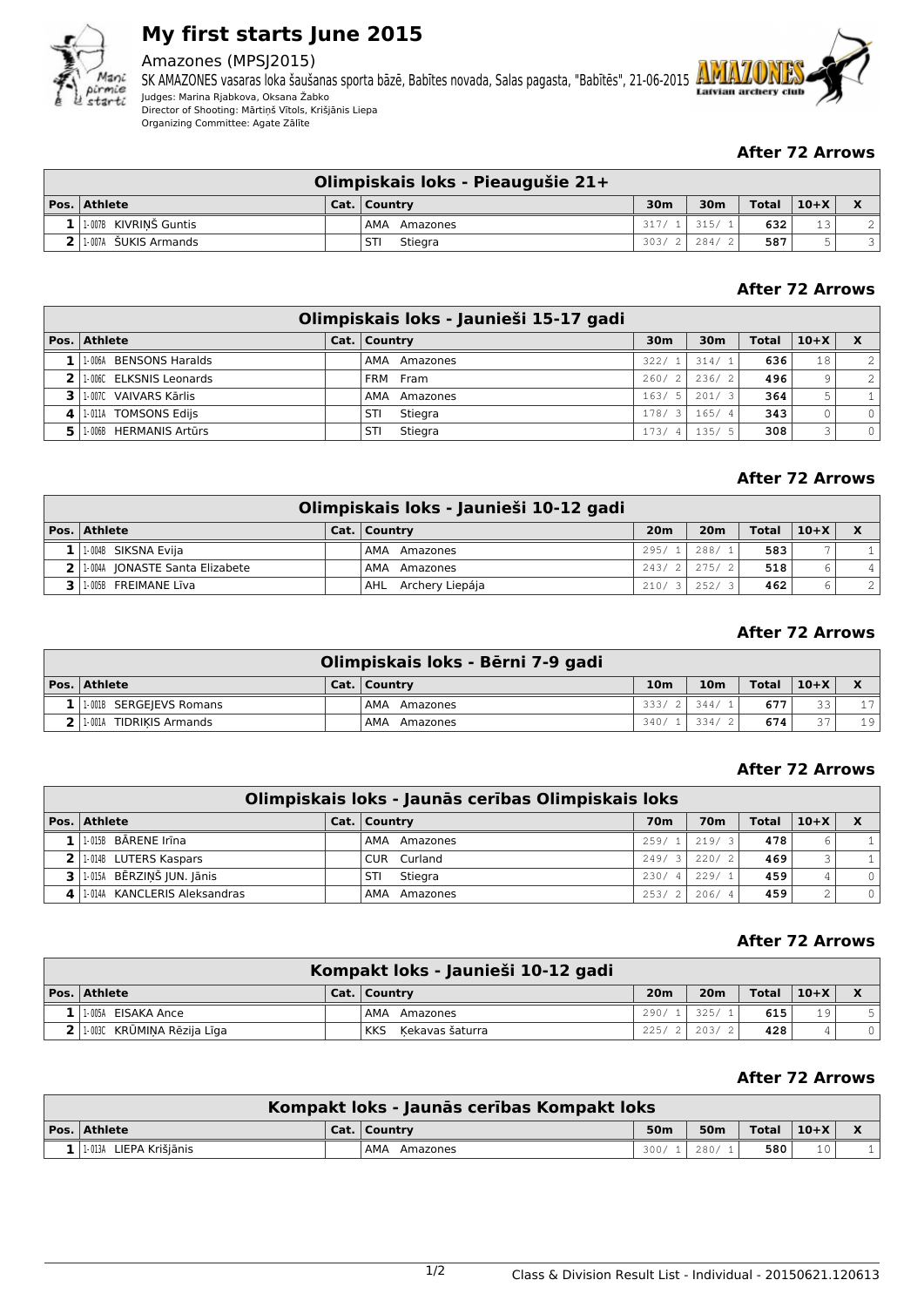

# **My first starts June 2015**

# Amazones (MPSJ2015)

SK AMAZONES vasaras loka šaušanas sporta bāzē, Babītes novada, Salas pagasta, "Babītēs", 21-06-2015 Latvian archery Judges: Marina Rjabkova, Oksana Žabko Director of Shooting: Mārtiņš Vītols, Krišjānis Liepa Organizing Committee: Agate Zālīte



## **After 72 Arrows**

| Olimpiskais loks - Pieaugušie 21+ |  |                 |                 |                 |              |        |  |  |  |
|-----------------------------------|--|-----------------|-----------------|-----------------|--------------|--------|--|--|--|
| $ Pos. $ Athlete                  |  | Cat.   Country  | 30 <sub>m</sub> | 30 <sub>m</sub> | <b>Total</b> | $10+X$ |  |  |  |
| 1.007B KIVRINŠ Guntis             |  | AMA<br>Amazones | 317/1           | 315/1           | 632          | 1 3    |  |  |  |
| $2$   1-007A SUKIS Armands        |  | Stiegra<br>STI  | 303/2           | 284/2           | 587          |        |  |  |  |

## **After 72 Arrows**

|   | Olimpiskais loks - Jaunieši 15-17 gadi |  |                 |                 |       |              |              |                |  |  |  |  |
|---|----------------------------------------|--|-----------------|-----------------|-------|--------------|--------------|----------------|--|--|--|--|
|   | Pos. Athlete                           |  | Cat.   Country  | 30 <sub>m</sub> | 30m   | <b>Total</b> | $10+X$       | $\mathbf{x}$   |  |  |  |  |
|   | 1 1.0064 BENSONS Haralds               |  | AMA Amazones    | 322/1           | 314/1 | 636          | 18           | $\overline{2}$ |  |  |  |  |
|   | 2 1.006C ELKSNIS Leonards              |  | FRM Fram        | 260/2           | 236/2 | 496          | 9            | $\overline{2}$ |  |  |  |  |
|   | II-007C VAIVARS Kārlis                 |  | AMA<br>Amazones | 163/5           | 201/3 | 364          | 5            |                |  |  |  |  |
| 4 | 1-011A TOMSONS Edijs                   |  | Stiegra<br>STI  | 178/3           | 165/4 | 343          |              | $\circ$        |  |  |  |  |
|   | 1-006B HERMANIS Artūrs                 |  | Stiegra<br>STI  | 173/4           | 135/5 | 308          | $\mathbf{r}$ | $\circ$        |  |  |  |  |

# **After 72 Arrows**

| Olimpiskais loks - Jaunieši 10-12 gadi |  |                        |                 |                 |              |        |                |  |  |  |
|----------------------------------------|--|------------------------|-----------------|-----------------|--------------|--------|----------------|--|--|--|
| Pos. Athlete                           |  | Cat.   Country         | 20 <sub>m</sub> | 20 <sub>m</sub> | <b>Total</b> | $10+X$ | $\mathbf{x}$   |  |  |  |
| $1$  1.004B SIKSNA Evija               |  | AMA Amazones           | 295/1           | 288/1           | 583          |        |                |  |  |  |
| 2 1.0044 JONASTE Santa Elizabete       |  | AMA Amazones           |                 | $243/2$ 275/2   | 518          |        |                |  |  |  |
| 1-005B FREIMANE Līva                   |  | Archery Liepája<br>AHL | 210/3           | 252/31          | 462          | h.     | $\overline{2}$ |  |  |  |

### **After 72 Arrows**

| Olimpiskais loks - Bērni 7-9 gadi |  |                 |                 |                 |       |        |             |  |  |  |
|-----------------------------------|--|-----------------|-----------------|-----------------|-------|--------|-------------|--|--|--|
| Pos. Athlete                      |  | Cat.   Country  | 10 <sub>m</sub> | 10 <sub>m</sub> | Total | $10+X$ | $\mathbf v$ |  |  |  |
| 1   1.001B SERGEIEVS Romans       |  | AMA<br>Amazones | 333/2           | 344/            | 677   | 33     | 17          |  |  |  |
| 1-001A TIDRIKIS Armands           |  | AMA<br>Amazones | 340/            | 334/2           | 674   | 27     | 19          |  |  |  |

## **After 72 Arrows**

| Olimpiskais loks - Jaunās cerības Olimpiskais loks |  |                 |            |                 |              |        |              |  |  |
|----------------------------------------------------|--|-----------------|------------|-----------------|--------------|--------|--------------|--|--|
| $\vert$ Pos. $\vert$ Athlete                       |  | Cat.   Country  | <b>70m</b> | 70 <sub>m</sub> | <b>Total</b> | $10+X$ | $\mathbf{x}$ |  |  |
| $1$   1.015B BARENE Irina                          |  | AMA Amazones    | 259/1      | 219/3           | 478          |        |              |  |  |
| 2 1.014B LUTERS Kaspars                            |  | CUR Curland     | 249/3      | 220/2           | 469          |        |              |  |  |
| $3$   1-015A BĒRZIŅŠ JUN. Jānis                    |  | Stiegra<br>STI  | 230/4      | 229/1           | 459          |        | $\Omega$     |  |  |
| 1.014A KANCLERIS Aleksandras                       |  | AMA<br>Amazones | 253/2      | 206/4           | 459          | $\sim$ | $\circ$      |  |  |

#### **After 72 Arrows**

| Kompakt loks - Jaunieši 10-12 gadi |  |                               |                 |                 |       |        |  |  |  |
|------------------------------------|--|-------------------------------|-----------------|-----------------|-------|--------|--|--|--|
| Pos. Athlete                       |  | Cat.   Country                | 20 <sub>m</sub> | 20 <sub>m</sub> | Total | $10+X$ |  |  |  |
| $1$   $1.005A$ EISAKA Ance         |  | AMA<br>Amazones               | 290/1           | 325/            | 615   | 19     |  |  |  |
| 2   1.003C KRŪMINA Rēzija Līga     |  | Kekavas šaturra<br><b>KKS</b> | 225/2           | 203/2           | 428   |        |  |  |  |

# **After 72 Arrows**

| Kompakt loks - Jaunās cerības Kompakt loks |  |                |                 |                 |                              |    |  |  |  |  |
|--------------------------------------------|--|----------------|-----------------|-----------------|------------------------------|----|--|--|--|--|
| $ Pos. $ Athlete                           |  | Cat.   Country | 50 <sub>m</sub> | 50 <sub>m</sub> | $\top$ otal $\mid 10+X \mid$ |    |  |  |  |  |
| $1$   1-013A LIEPA Krišiānis               |  | AMA Amazones   | 300/            | 280/            | 580                          | 10 |  |  |  |  |